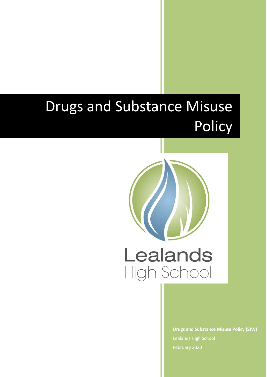# Drugs and Substance Misuse **Policy**



**Drugs and Substance Misuse Policy (SJW)** Lealands High School February 2020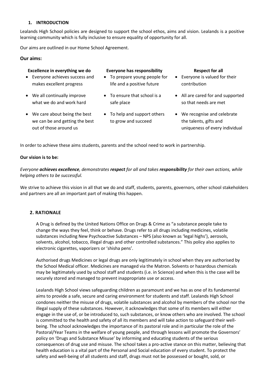# **1. INTRODUCTION**

Lealands High School policies are designed to support the school ethos, aims and vision. Lealands is a positive learning community which is fully inclusive to ensure equality of opportunity for all.

Our aims are outlined in our Home School Agreement.

 Everyone achieves success and makes excellent progress

 We all continually improve what we do and work hard

 We care about being the best we can be and getting the best

out of those around us

## **Our aims:**

## **Excellence in everything we do Everyone has responsibility Respect for all**

- To prepare young people for life and a positive future
- To ensure that school is a safe place
- To help and support others to grow and succeed
- 
- Everyone is valued for their contribution
- All are cared for and supported so that needs are met
- We recognise and celebrate the talents, gifts and uniqueness of every individual

In order to achieve these aims students, parents and the school need to work in partnership.

#### **Our vision is to be:**

*Everyone achieves excellence, demonstrates respect for all and takes responsibility for their own actions, while helping others to be successful.*

We strive to achieve this vision in all that we do and staff, students, parents, governors, other school stakeholders and partners are all an important part of making this happen.

#### **2. RATIONALE**

A Drug is defined by the United Nations Office on Drugs & Crime as "a substance people take to change the ways they feel, think or behave. Drugs refer to all drugs including medicines, volatile substances including New Psychoactive Substances – NPS (also known as 'legal highs'), aerosols, solvents, alcohol, tobacco, illegal drugs and other controlled substances." This policy also applies to electronic cigarettes, vaporizers or 'shisha pens'.

Authorised drugs Medicines or legal drugs are only legitimately in school when they are authorised by the School Medical officer. Medicines are managed via the Matron. Solvents or hazardous chemicals may be legitimately used by school staff and students (i.e. in Science) and when this is the case will be securely stored and managed to prevent inappropriate use or access.

Lealands High School views safeguarding children as paramount and we has as one of its fundamental aims to provide a safe, secure and caring environment for students and staff. Lealands High School condones neither the misuse of drugs, volatile substances and alcohol by members of the school nor the illegal supply of these substances. However, it acknowledges that some of its members will either engage in the use of, or be introduced to, such substances, or know others who are involved. The school is committed to the health and safety of all its members and will take action to safeguard their wellbeing. The school acknowledges the importance of its pastoral role and in particular the role of the Pastoral/Year Teams in the welfare of young people, and through lessons will promote the Governors' policy on 'Drugs and Substance Misuse' by informing and educating students of the serious consequences of drug use and misuse. The school takes a pro-active stance on this matter, believing that health education is a vital part of the Personal and Social education of every student. To protect the safety and well-being of all students and staff, drugs must not be possessed or bought, sold, or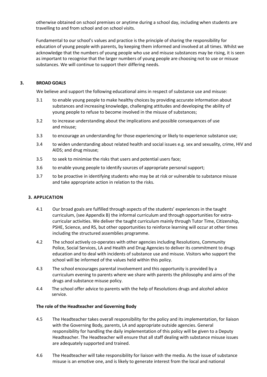otherwise obtained on school premises or anytime during a school day, including when students are travelling to and from school and on school visits.

Fundamental to our school's values and practice is the principle of sharing the responsibility for education of young people with parents, by keeping them informed and involved at all times. Whilst we acknowledge that the numbers of young people who use and misuse substances may be rising, it is seen as important to recognise that the larger numbers of young people are choosing not to use or misuse substances. We will continue to support their differing needs.

# **3. BROAD GOALS**

We believe and support the following educational aims in respect of substance use and misuse:

- 3.1 to enable young people to make healthy choices by providing accurate information about substances and increasing knowledge, challenging attitudes and developing the ability of young people to refuse to become involved in the misuse of substances;
- 3.2 to increase understanding about the implications and possible consequences of use and misuse;
- 3.3 to encourage an understanding for those experiencing or likely to experience substance use;
- 3.4 to widen understanding about related health and social issues e.g. sex and sexuality, crime, HIV and AIDS; and drug misuse;
- 3.5 to seek to minimise the risks that users and potential users face;
- 3.6 to enable young people to identify sources of appropriate personal support;
- 3.7 to be proactive in identifying students who may be at risk or vulnerable to substance misuse and take appropriate action in relation to the risks.

#### **3. APPLICATION**

- 4.1 Our broad goals are fulfilled through aspects of the students' experiences in the taught curriculum, (see Appendix B) the informal curriculum and through opportunities for extracurricular activities. We deliver the taught curriculum mainly through Tutor Time, Citizenship, PSHE, Science, and RS, but other opportunities to reinforce learning will occur at other times including the structured assemblies programme.
- 4.2 The school actively co-operates with other agencies including Resolutions, Community Police, Social Services, LA and Health and Drug Agencies to deliver its commitment to drugs education and to deal with incidents of substance use and misuse. Visitors who support the school will be informed of the values held within this policy.
- 4.3 The school encourages parental involvement and this opportunity is provided by a curriculum evening to parents where we share with parents the philosophy and aims of the drugs and substance misuse policy.
- 4.4 The school offer advice to parents with the help of Resolutions drugs and alcohol advice service.

#### **The role of the Headteacher and Governing Body**

- 4.5 The Headteacher takes overall responsibility for the policy and its implementation, for liaison with the Governing Body, parents, LA and appropriate outside agencies. General responsibility for handling the daily implementation of this policy will be given to a Deputy Headteacher. The Headteacher will ensure that all staff dealing with substance misuse issues are adequately supported and trained.
- 4.6 The Headteacher will take responsibility for liaison with the media. As the issue of substance misuse is an emotive one, and is likely to generate interest from the local and national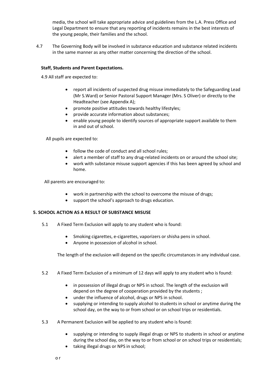media, the school will take appropriate advice and guidelines from the L.A. Press Office and Legal Department to ensure that any reporting of incidents remains in the best interests of the young people, their families and the school.

4.7 The Governing Body will be involved in substance education and substance related incidents in the same manner as any other matter concerning the direction of the school.

# **Staff, Students and Parent Expectations.**

4.9 All staff are expected to:

- report all incidents of suspected drug misuse immediately to the Safeguarding Lead (Mr S.Ward) or Senior Pastoral Support Manager (Mrs. S Oliver) or directly to the Headteacher (see Appendix A);
- promote positive attitudes towards healthy lifestyles;
- provide accurate information about substances;
- enable young people to identify sources of appropriate support available to them in and out of school.

All pupils are expected to:

- follow the code of conduct and all school rules;
- alert a member of staff to any drug-related incidents on or around the school site;
- work with substance misuse support agencies if this has been agreed by school and home.

All parents are encouraged to:

- work in partnership with the school to overcome the misuse of drugs;
- support the school's approach to drugs education.

#### **5. SCHOOL ACTION AS A RESULT OF SUBSTANCE MISUSE**

- 5.1 A Fixed Term Exclusion will apply to any student who is found:
	- Smoking cigarettes, e-cigarettes, vaporizers or shisha pens in school.
	- Anyone in possession of alcohol in school.

The length of the exclusion will depend on the specific circumstances in any individual case.

- 5.2 A Fixed Term Exclusion of a minimum of 12 days will apply to any student who is found:
	- in possession of illegal drugs or NPS in school. The length of the exclusion will depend on the degree of cooperation provided by the students ;
	- under the influence of alcohol, drugs or NPS in school.
	- supplying or intending to supply alcohol to students in school or anytime during the school day, on the way to or from school or on school trips or residentials.
- 5.3 A Permanent Exclusion will be applied to any student who is found:
	- supplying or intending to supply illegal drugs or NPS to students in school or anytime during the school day, on the way to or from school or on school trips or residentials;
	- taking illegal drugs or NPS in school;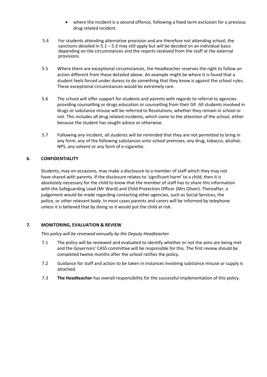- where the incident is a second offence, following a fixed term exclusion for a previous drug related incident.
- 5.4 For students attending alternative provision and are therefore not attending school, the sanctions detailed in  $5.1 - 5.3$  may still apply but will be decided on an individual basis depending on the circumstances and the reports received from the staff at the external provisions.
- 5.5 Where there are exceptional circumstances, the Headteacher reserves the right to follow an action different from those detailed above. An example might be where it is found that a student feels forced under duress to do something that they know is against the school rules. These exceptional circumstances would be extremely rare.
- 5.6 The school will offer support for students and parents with regards to referral to agencies providing counselling or drugs education or counselling from their GP. All students involved in drugs or substance misuse will be referred to Resolutions, whether they remain in school or not. This includes all drug related incidents, which come to the attention of the school, either because the student has sought advice or otherwise.
- 5.7 Following any incident, all students will be reminded that they are not permitted to bring in any form, any of the following substances onto school premises; any drug, tobacco, alcohol, NPS, any solvent or any form of e-cigarette.

# **6. CONFIDENTIALITY**

Students, may on occasions, may make a disclosure to a member of staff which they may not have shared with parents. If the disclosure relates to 'significant harm' to a child, then it is absolutely necessary for the child to know that the member of staff has to share this information with the Safeguarding Lead (Mr Ward) and Child Protection Officer (Mrs Oliver). Thereafter, a judgement would be made regarding contacting other agencies, such as Social Services, the police, or other relevant body. In most cases parents and carers will be informed by telephone unless it is believed that by doing so it would put the child at risk.

# **7. MONITORING, EVALUATION & REVIEW**

*This policy will be reviewed annually by the Deputy Headteacher*

- 7.1 The policy will be reviewed and evaluated to identify whether or not the aims are being met and the Governors' CASS committee will be responsible for this. The first review should be completed twelve months after the school ratifies the policy.
- 7.2 Guidance for staff and action to be taken in instances involving substance misuse or supply is attached.
- 7.3 **The Headteacher** has overall responsibility for the successful implementation of this policy.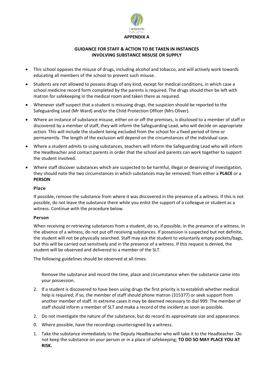

# **GUIDANCE FOR STAFF & ACTION TO BE TAKEN IN INSTANCES INVOLVING SUBSTANCE MISUSE OR SUPPLY**

- This school opposes the misuse of drugs, including alcohol and tobacco, and will actively work towards educating all members of the school to prevent such misuse.
- Students are not allowed to possess drugs of any kind, except for medical conditions, in which case a school medicine record form completed by the parents is required. The drugs should then be left with matron for safekeeping in the medical room and taken there as required.
- Whenever staff suspect that a student is misusing drugs, the suspicion should be reported to the Safeguarding Lead (Mr Ward) and/or the Child Protection Officer (Mrs Oliver).
- Where an instance of substance misuse, either on or off the premises, is disclosed to a member of staff or discovered by a member of staff, they will inform the Safeguarding Lead, who will decide on appropriate action. This will include the student being excluded from the school for a fixed period of time or permanently. The length of the exclusion will depend on the circumstances of the individual case.
- Where a student admits to using substances, teachers will inform the Safeguarding Lead who will inform the Headteacher and contact parents in order that the school and parents can work together to support the student involved.
- Where staff discover substances which are suspected to be harmful, illegal or deserving of investigation, they should note the two circumstances in which substances may be removed: from either a **PLACE** or a **PERSON**

#### **Place**

If possible, remove the substance from where it was discovered in the presence of a witness. If this is not possible, do not leave the substance there while you enlist the support of a colleague or student as a witness. Continue with the procedure below.

#### **Person**

When receiving or retrieving substances from a student, do so, if possible, in the presence of a witness. In the absence of a witness, do not put off receiving substances. If possession is suspected but not definite, the student will not be physically searched. Staff may ask the student to voluntarily empty pockets/bags, but this will be carried out sensitively and in the presence of a witness. If this request is denied, the student will be observed and delivered to a member of the SLT.

The following guidelines should be observed at all times:

Remove the substance and record the time, place and circumstance when the substance came into your possession.

- 2. If a student is discovered to have been using drugs the first priority is to establish whether medical help is required; if so, the member of staff should phone matron (315377) or seek support from another member of staff. In extreme cases it may be deemed necessary to dial 999. The member of staff should inform a member of SLT and make a record of the incident as soon as possible.
- 2. Do not investigate the nature of the substance, but do record its approximate size and appearance.
- 0. Where possible, have the recordings countersigned by a witness.
- 1. Take the substance immediately to the Deputy Headteacher who will take it to the Headteacher. Do not keep the substance on your person or in a place of safekeeping; **TO DO SO MAY PLACE YOU AT RISK.**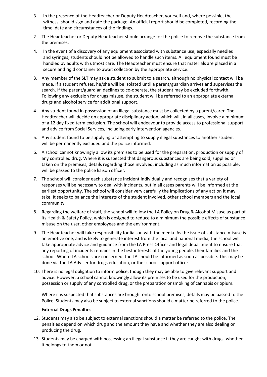- 3. In the presence of the Headteacher or Deputy Headteacher, yourself and, where possible, the witness, should sign and date the package. An official report should be completed, recording the time, date and circumstances of the findings.
- 2. The Headteacher or Deputy Headteacher should arrange for the police to remove the substance from the premises.
- 4. In the event of a discovery of any equipment associated with substance use, especially needles and syringes, students should not be allowed to handle such items. All equipment found must be handled by adults with utmost care. The Headteacher must ensure that materials are placed in a secure and rigid container to await collection by the appropriate service.
- 3. Any member of the SLT may ask a student to submit to a search, although no physical contact will be made. If a student refuses, he/she will be isolated until a parent/guardian arrives and supervises the search. If the parent/guardian declines to co-operate, the student may be excluded forthwith. Following any exclusion for drugs misuse, the student will be referred to an appropriate external drugs and alcohol service for additional support.
- 4. Any student found in possession of an illegal substance must be collected by a parent/carer. The Headteacher will decide on appropriate disciplinary action, which will, in all cases, involve a minimum of a 12 day fixed term exclusion. The school will endeavour to provide access to professional support and advice from Social Services, including early intervention agencies.
- 5. Any student found to be supplying or attempting to supply illegal substances to another student will be permanently excluded and the police informed.
- 6. A school cannot knowingly allow its premises to be used for the preparation, production or supply of any controlled drug. Where it is suspected that dangerous substances are being sold, supplied or taken on the premises, details regarding those involved, including as much information as possible, will be passed to the police liaison officer.
- 7. The school will consider each substance incident individually and recognises that a variety of responses will be necessary to deal with incidents, but in all cases parents will be informed at the earliest opportunity. The school will consider very carefully the implications of any action it may take. It seeks to balance the interests of the student involved, other school members and the local community.
- 8. Regarding the welfare of staff, the school will follow the LA Policy on Drug & Alcohol Misuse as part of its Health & Safety Policy, which is designed to reduce to a minimum the possible effects of substance misuse on the user, other employees and the environment.
- 9. The Headteacher will take responsibility for liaison with the media. As the issue of substance misuse is an emotive one, and is likely to generate interest from the local and national media, the school will take appropriate advice and guidance from the LA Press Officer and legal department to ensure that any reporting of incidents remains in the best interests of the young people, their families and the school. Where LA schools are concerned, the LA should be informed as soon as possible. This may be done via the LA Adviser for drugs education, or the school support officer.
- 10. There is no legal obligation to inform police, though they may be able to give relevant support and advice. However, a school cannot knowingly allow its premises to be used for the production, possession or supply of any controlled drug, or the preparation or smoking of cannabis or opium.

Where it is suspected that substances are brought onto school premises, details may be passed to the Police. Students may also be subject to external sanctions should a matter be referred to the police.

#### **External Drugs Penalties**

- 12. Students may also be subject to external sanctions should a matter be referred to the police. The penalties depend on which drug and the amount they have and whether they are also dealing or producing the drug.
- 13. Students may be charged with possessing an illegal substance if they are caught with drugs, whether it belongs to them or not.